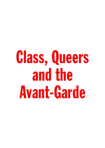## Class, Queers and the Avant-Garde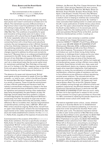## **Class, Queers and the Avant-Garde** by Isabel Waidner

Text commissioned on the occasion of the ICA exhibition *I, I, I, I, I, I, I, Kathy Acker* (1 May – 4 August 2019)

Kathy Acker's use of the first-person singular may have been plural, but it wasn't communal (or at least not in its effect). The mainstream success of *Blood and Guts in High School* when it was first published in the UK in '84 did nothing to help advance 'British' queer avant-garde writing more widely, not then, nor in the period afterwards ('90s/'00s/'10s). The conditions of possibility for queer and innovative writing simply were not in place. In her conversation with cultural theorist Angela McRobbie in '87, Acker repeatedly refers to her status as an exception or token: the one postmodernist writer, the one writer connecting fiction with critical theory and subcultural contexts, the one transgressive writer in British literature at the time. Did Acker-tokenism in the '80s and '90s enable the publishing establishment to give the appearance of risk-taking and inclusivity, rather than make the structural changes required to address its elitism and normativity long-term? 'Because there is no underground [publishing] movement [in the UK],' Acker says to McRobbie, 'a lot of the sort of non-Oxbridge writing goes into science fiction. It's the one place that you're allowed to do everything you can't do in what almost looks like the social realist novel [in mainstream publishing].' Non-Oxbridge writing went into sci-fi or fantasy in the '80s, mapping class inequalities firmly onto genre distinctions – social realism on top of the literary hierarchy, sci-fi and fantasy at the bottom :/

The absence of a queer and intersectional 'British' avant-garde writing movement to speak of from the 1980s onwards – or, hold on, *ever* – while in the US and Canada for example New Narrative<sup>1</sup> happened, can be put down to a variety of reasons. These include the entrenchment of class in British publishing and literature itself; the industry's extraordinary resistance to change in the face of public demand and even profitability (this is meant to be capitalism and potential working-class readerships keep being disregarded); the gate-keepery at play; the Oxbridge; and the detail that early academic critiques of Cambridge English (for example Raymond Williams') moved away from their discipline of origin and into the field of cultural studies where they did, actually, make a difference. Not so incredible, then, that the marginalisation of interdisciplinary working-class, LGBTQI+, Black and POC writers should be ongoing. Kathy Acker, herself from an upper-class background, remains the one transgressive, experimental writer widely represented in British art, literature and media establishment contexts. It's like, I, I, I, I, I, I, I, Kathy Acker, arguably at the expense of everyone else.

Commissioned on the occasion of the ICA's *I, I, I, I, I, I, I, Kathy Acker* exhibition, this text is specifically not about Kathy Acker. It's about the unprecedented insurgence of marginalised 'British' writers making connections between literature, critical theory, art, performance, fashion, music, politics, and queer, working-class and diasporic cultures and lives rn. Enabled by a combination of factors including the digital disruption of the publishing establishment, a proliferation of radical independent publishers such as Arcadia Missa, Dostoyevsky Wannabe, Ma Bibliothèque, Pilot Press, Pss, The 87 Press and Zarf, and – for better or worse – social media, writers including Mojisola

Adebayo, Jay Bernard, Ray Filar, Caspar Heinemann, Niven Govinden, Juliet Jacques, Natasha Lall, Huw Lemmey, Abondance Matanda, D. Mortimer, Nat Raha, Shola von Reinhold, Alison Rumfitt, Scottee, Rosie Snajdr, Verity Spott, Linda Stupart, Timothy Thornton, Eley Williams and me, too, are redefining formally innovative writing as a medium which is helping to mobilise new communities online and irl, intertextual and personal. By 'mobilise' I mean oversubscribed reading events in London and across the UK, I mean publications of stellar literary value which, btw, sell. The queer culture book fair *Strange Perfume* at the South London Gallery is in its second year, and so is *Queers Read This*, the reading series I co-curate with artist and publisher Richard Porter at the ICA, and that platforms interdisciplinary writers. I could go on.

This text is me 'peer reviewing' a carefully curated mini sample of two: Caspar Heinemann's poetry collection *NOVELTY THEORY* (The 87 Press, 2019) and my own novel *WE ARE MADE OF DIAMOND STUFF* (Dostoyevsky Wannabe, 2019), via Mojisola Abebayo, Abondance Matanda and US writer Kevin Killian's work, plus the gossip. The purpose of this exercise is to introduce our work to Acker-loving, Acker-hating audiences, to challenge Acker's status as the one, token experimental writer deserving of wider recognition, and to identify and map out some of the themes and preoccupations that obviously don't define, but maybe get at interdisciplinary queer writing in Britain more widely. To anticipate, these themes include race, class, queer and trans embodiment, desire, joy, migrancy, dying empires, hugely alive imperialist imaginaries, lived oppression, phobia, no money, the normalisation of individualism under neoliberalism, collective modes of resistance, and how to form alliances across difference without reproducing societal power relations. The rationale behind this particular comparative reading is based on real events (some very soft facts): in March '19, Caspar and I both read at *Queers Read This* at the ICA. Despite Caspar and I probably coming through very different writerly and academic trajectories, the affinities between their poem *Situationist International Airport* in particular and *WE ARE MADE OF DIAMOND STUFF* were too much, really, for them not to feel significant in respect to this current literary moment I'm trying to get a purchase on. Know that I'm 100% committed to replacing the pseudo-objectivity of mainstream review culture with insider info – .

We need an expanded review culture, 'cause, whatever is going on in *Guardian Books* isn't it. Establishment review culture is as elitist as publishing, or to borrow a quote from writer and performer Scottee: Posh cunts look after posh cunts. The absolute inspiration behind my take on peer review practice is New Narrative writer and critic Kevin Killian's work, specifically his *SELECTED AMAZON REVIEWS* (Hooke Press, 2006, Push Press, 2011).2 Published in two parts, the *SELECTED AMAZON REVIEWS* contain selections from 1000+ reviews that Killian left on Amazon.com, amounting to, according to the publisher, a 'subversive and delightful modification to a pervasive online art form'. Reviewed items range from *BUTTMEN 3: EROTIC STORIES AND TRUE CONFESSIONS BY GAY MEN WHO LOVE BOOTY*, Tender Harvest baby food ('its soft, piquant flavour'), a self-help book by avant-garde novelist Dennis Cooper's father Clifford D. Cooper, to poetry collections by John Wiener, for example. What's funny about Killian's *AMAZON REVIEWS* is also strategically and analytically on point: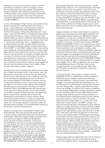Engaging with actual text as well as with the cultures and politics in relation to which it emerged, writers' bios including their love lives, degrees of separation, tangents and half-truths, Killian's personal and chatty reviews provide crucial context for anyone, researchers, me, trying to get a handle on the historically specific conditions of possibility for queer avant-garde writing (and *BUTTMEN 3*).

In their wild disregard of high and low culture distinctions, Killian's reviews are re-defining what even merits a review – and by extension, what literature actually is. South London writer Abondance Matanda's essay *The First Art Galleries I Knew Were Black Homes*3, which is key in terms of what 'British' working-class avant-garde writing should be doing rn, makes a similar point more explicitly. Not only does *First Galleries* place family photos, glassware and the dusted china in her mother's front room – 'that shit you could never touch' – alongside proper art objects held in the Tate, the V&A, White Cube, but also alongside the fashion of Black-owned London label A-Cold-Wall\*. A-Cold-Wall\* designs derive from workingclass references, reminding Abondance of the blue plastic bags from the corner shop which she ties round her head when it rains and she has no umbrella, of pebble-dash and concrete, of white lace curtains billowing in the breeze, 'translating it all into grandeur somehow'. Crucially, Abondance does to the essay form what she says about art – combining colloquialisms, whatever, youth speak, and critical acuity, she literally claims it and makes it Black working-class, South London, diaspora.

Stretching the rules of grammar like Abondance the essay form, Caspar Heinemann writes: 'Last summer I got in an argument in a sauna with someone who said she would hate to edit my work because I use or maybe *am* too many forward slashes and apparently the new narratives of the coming collapse or white flight or whatever must be formally grammatically correct.' Peer review culture as I envisage it is too many forward slashes, poised against the conventions of mainstream reviewing, or, to quote the White Pube's Zarina Muhammad, the typos are part of the experience. New style peer review culture builds on similarly irreverent writing practices, on longstanding poetry and art review cultures, and on Twitter, IG, Goodreads (!) and Amazon (!!) review cultures. Goes without saying that the takes on these only seemingly democratic platforms are as reactionary as society as a whole, but I've not seen classism in literature called out anywhere near as reliably in the establishment media as in the Amazon customer review section.

Caspar is a London-born, London/Berlin-based writer, artist and poet. They write poems and essays about 'critical occultism, gay biosemiotics and countercultural mythologies' (check http://angstravaganza.tumblr.com/). They have an art degree or MA from Goldsmiths. There was talk of a poetry collection coming from Vile Troll Books, writer Huw Lemmey's pamphlet press, a couple of years ago, but no, their first book of poetry, *NOVELTY THEORY*, was out with The 87 Press in April. Caspar's videos of themselves reading their work have popped up online or in galleries for years (check *Bodies Against Thing* on Vimeo, 1k+ viewings). I, too, am a writer and cultural theorist. My books include *WE ARE MADE OF DIAMOND STUFF* (2019), *GAUDY BAUBLE*  (2017) and *LIBERATING THE CANON: AN ANTHOLOGY OF INNOVATIVE LITERATURE* (ed., 2018), published by

Dostoyevsky Wannabe. I am a first generation, v recent British Citizen. Born in '74, I'm exactly 20 years older than Caspar, and yet, both of us appear to be part of a new generation of interdisciplinary queer British writers. Tells you what you need to know about the present moment, about this being generations worth of deferred queer writing releasing now. To labour the point: Written in '88, Roz Kaveney's *TINY PIECES OF* SKULL was admired by contemporaries including Kathy Acker in manuscript, but did not find a publisher until Team Angelica put it out in 2015. It went on to win the Lambda Literary Award for best trans fiction that year.

Caspar's *Situationist International Airport* is a poem two pages long, projecting queer avant-garde potential onto the legendary English seaside town Blackpool. Caspar's protagonist, 'a young man cruising the charity shops', is maybe a take on themselves, looking for something cute to put on. In contrast, or I don't know, similarly, *WE ARE MADE OF DIAMOND STUFF* is an innovative novel, set on the Isle of Wight off the south coast of England. It collides literary aesthetics with contemporary working-class cultures and attitudes (B.S. Johnson and Reebok classics), works with themes of empire, embodiment and resistance, and interrogates autobiographical material including the queer migrant experience. My protagonists, Shae and someone who looks like Eleven from *STRANGER THINGS*  but who's actually 36, work in a decrepit hotel in the small town of Ryde. They're 100% up against it, but, according to Dodie Bellamy's blurb of the book, they 'survive, not just physically but spiritually as well'. Both, Shae and Thirty-Six are versions of myself 6 or 7 years ago, survival ongoing.

1) The first common denominator in *Situationist* and *DIAMOND STUFF* is seaside towns looming mythical in the British psyche. Caspar's 'glittering situationist internale blackpool | truthfully closer to pre-gentrified margate' is my diamond Ryde. Some background: L, my real-life partner, is a Portsmouth working-class. Growing up in the '70s and '80s, L regularly spent family holidays on the Isle of Wight, winning the disco dance competition at Thorness Bay Holiday Park, treasuring miniature bottles of multi-coloured sands from Alum Bay. What's potent perhaps about seaside towns as a literary setting rn is how English Riviera mythologies clash with the realities of a tourist industry in decline since the '70s charter flight revolution at least. Spain is - or was, prior to the referendum-related slump in the GBP – cheaper. Any long-term decline has been exacerbated by governmental neglect since 2010. Dereliction is real on the Isle of Wight, and presumably Blackpool. Place is falling to pieces, the shops on the High Street are shut, half the town is on the sick or the dole or has fallen through the crack formerly known as the welfare system. The Georgian villa, though, in that really out of the way posh part of the island is a-ok. Passed down the family through generations, no one's in it much anymore. Worth holding onto because sea views. No point selling, not in the currently fcked economic climate. Ride out Brexit. Might go over Easter nxt year, avoid terrorism abroad. Beyond containing Tory reality and holiday fantasy in one body, then, British seaside towns are fully-formed microcosms of class inequality – maybe that's why we're setting everything in them.

Google image searching 'Blackpool roller rink' as featured in *Situationist* gives me a blurry pink external, and an interior dominated by office ceiling panels, low-hanging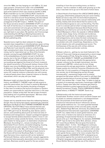since the 1990s, low-key hanging-on until 2020 or '21, best case scenario. *Situationist*'s roller rink is *DIAMOND STUFF*'s Ryde Arena, the real-life ice rink at the prominent spot at the seafront which was closed by bailiffs in 2016. Ryde's boarded-up ice rink ('A N-Ice Rink') stands for economic collapse in *DIAMOND STUFF*, and provides the hook for a narrative around Tonya Harding, the discredited working-class figure skater from Portland, Oregon and protagonist of the 2017 biopic *I, TONYA*. The point of the Tonya narrative strand in *DIAMOND STUFF* is to dispel the myth of meritocracy in a classed society – talent, hard work and commitment will only get you that far if your background is literally conspiring to catch up with you, put you right back in your place. No spoilers, but I'd encourage understanding the US Figure Skating Association as represented in *DIAMOND STUFF* as a stand-in for the British publishing elite.

Seaside towns might be ideal catalysts for staging societal class inequalities in interdisciplinary queer writing – but in both *Situationist* and *DIAMOND STUFF*, Blackpool and Ryde don't just stand for endemic underfunding, high unemployment rates, former glamour and old Etonian money, but for imperialism per se. One of the thematic strands running through *DIAMOND STUFF*, for one, is the embeddedness of empire not just in the British psyche, but in the Isle of Wight's actual infrastructure and landscape. With countless prehistoric forts in the surrounding sea (against the threat of a French invasion), the island's proximity to Portsmouth harbour (home of the English navy since the Middle Ages), its role as a key site of defence in the Second World War, and the physical ruins of the British Space Rocket Programme (1950s–71) left on some cliff, imperial violence is basically one with scenes of natural beauty down there. Imperial violence is literally naturalised, which can play wth your head.

Blackpool might not share the Isle of Wight's military history, and *NOVELTY THEORY* might not talk empire to quite the same extent, but it's there in austerity Blackpool, its crumbling ice rink, the phobia, the being a foreigner. In *they have no evidence that asylum Europeans or Eastern seekers are responsible for reported reductions in the swan population*, Caspar writes that 'the last scraps of empire [are] leaking sort of justified apocalypse'. We knew what we had coming, and it's sort of deserved.

Caspar and my seaside towns have this redeeming feature, though, they are laying bare barely repressed gay potential. Blackpool and Ryde are GLITTERING! DIAMOND! BLEAK CRYSTAL! GLITZY!! Many4 have claimed that the sea is queer – something something liminality and fluidity, I don't 100% get it but ok. Something Jean Genet, sailors and sin, and something about ports as historical sites of lewdness and transgression. Caspar's protagonist appears to escape familial phobia elsewhere ('before i know it i am | being told to sleep outside the family | home next to the patio heater for being queer'), to destination situationist Blackpool. According to L, venues including the now demolished Tricorn Centre, a brutalist shopping, housing, nightclub and car park complex in Portsmouth were subcultural hubs in the '80s, with traces of these histories still visible in the suburb of Southsea at least, home to the Hovercraft terminal Southsea-Ryde. In contrast, L says that every time a naval aircraft carrier landed at Portsmouth Harbour, sailors and their rampant, aggressive, patriarchal heterosexuality descended onto the local clubs and bars. Business would be good for the sex workers

travelling in from the surrounding towns, so that's a positive – but for a lesbian or afab youth growing up in the area, it was best not to go out in the event of shore leave.

In David Hoyle's first feature film *UNCLE DAVID* (2010), a young gay called Ashley (played by the porn actor Ashley Ryder) arrives to stay with his Uncle David (played by Hoyle). Uncle David enters into a sexual relationship with Ashley. Ashley tells Uncle David that he wants to die, and Uncle David agrees to carry out the killing. The film is set in a caravan park at what I wrongly assumed was the coast near Blackpool (because David Hoyle is from Blackpool), but what turns out to be the Isle of Sheppey in Kent! Blackpool or Kent, the seaside in *UNCLE DAVID* is queer, lewd, cheap, funny, intimate and murderous, unless that's just David. As metaphors, seaside towns hold antagonisms, and so does the best contemporary writing and art: queer potential sits with phobia. Openness to outsiders sits with misanthropy. Dependency on the tourist industry sits with xenophobia and racism. The limitlessness of the sea sits with military defence structures, boulders and border controls.

2) Queer culture is... getting my new book featured in the *Financial Times* and it being accompanied by a stock image of white people at Pride, flying the rainbow flag (true story). Both *NOVELTY THEORY* and *DIAMOND STUFF* look at queer cultures, specifically the appropriation of queer cultures by the straight mainstream, but also mainstream LGBTQI+ culture and its twin things, homonormativity and gay assimilation. In *Baths Suck*, Caspar quotes eco-feminist Françoise d'Eaubonne who writes that 'it's not a question of integrating homosexuals into society, but of disintegrating society through homosexuality', expressing Caspar and my shared perspective that queer politics if you want to call them that must be transformative of society at large. In *DIAMOND STUFF*, the rainbow flak – I mean, flag – is taken to task as a symbol of increasingly reactionary mainstream LGBTQI+ politics. Caspar even asks that 'someone get [them] a fucking umbrella to protect against the UV of umbrella identity formations'! Finally, 'FUCK CORPORATE PRIDE,' capital letters, in *NOVELTY THEORY*. Sums it up.

3) Relationship with the historical avant-garde: Complicated. Another concern whch connects Caspar and my books is a shared investment in, but disappointment with, the promises of the historical avant-garde. *Situationist International Airport* references various avant-garde traditions incl. 'our avant guarded bearded bespectacled ancestors of the concrete poetry may 68 glitz', Dadaist Hugo Ball and, obviously, Guy Debord and the Situationist Internationale organisation. *DIAMOND STUFF*, too, makes links to avant-garde histories, and what's more, it tends to be read as an extension of a genealogy of experimental literature. According to a recent write up in *Tank Magazine*, for example, *DIAMOND STUFF* 'tips its hat to the author B.S. Johnson, whose 1971 novel *House Mother Normal* gives this book its formidable villain'. 'In this', *Tank Magazine* continues, 'Waidner aligns their work with a generation of post-war experimentalists exploring class and culture with a camp and baroque cleverness.' $\odot$  But my relationship with the avant-garde literary canon is far more complex than this reading suggests: *DIAMOND STUFF* is designed as an intervention against the normativity and elitism of much of English-language and European avant-garde literature. *House Mother Normal* might be one of the villains in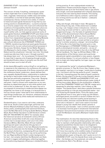*DIAMOND STUFF* – but another villain might be B. S. Johnson himself!

The concern of what, if anything, contemporary queer writers might take from a canon that is largely white, male, cisgender, heterosexual, middle-class and totally commodified, is one that at least partially shapes the contemporary literary moment more widely. In relation to historical avant-garde literatures I'd say that my own writing practice is disidentificatory – a practice enacted by a minority subject (me) 'who must work with/resist the conditions of (im)possibility that the dominant culture (in this case, the avant-garde canon) generates'.5 Aligning myself neither with, nor fully against canonical works of avant-garde literature, *DIAMOND STUFF* puts these works (e.g. Johnson's) into dialogue with work by contemporary writers from marginalised backgrounds including Mojisola Adebayo, Jay Bernard and Nisha Ramayya, as well as pop cultural references like *STRANGER THINGS* and *I, TONYA*, transforming historical avant-garde literature (Johnson's) for my own cultural and political purposes in the process. Similarly, Caspar ferries Walter Benjamin into Blackpool's charity shops. They ship Hugo Ball, Guy Debord and the situationist 'internale' (sic) into 'this bleak crystal sea side town that is ours | through a portal it has always been ours' – for my purposes I'd interpret that to mean that it requires a lot of passing through portals and disidentificatory labour to actually own the stuff that should've been ours to start off with.

Artist Jessie McLaughlin wrote a thing6 *on not getting in*, in response to the organisers of a conference who rejected their proposal on the grounds of its flimsy connection with the conference theme, modernism. Jessie defines their own, arguably disidentificatory, relationship to modernism as having to rearticulate modernist discourses in terms they feel are politically progressive. They write: 'Studying English Lit as a young brown queer I had to take what I was given. I had to connect with modernism on my own because my department gave us only white authors and told us this is modernism. If, then, the ways I lay out in my proposal of connecting to modernist texts appear too tangential, too loose or too strange, it is because this is how as a brown queer I have had to form relationships to most things (modernism, art, literature, whatever) because all I've ever been fed by white media and institutions is a white canon.'

Disidentification, if you want to call it that, underpins what we do. South London playwright, performer and director Mojisola Adebayo's plays fuse history, politics, drama, poetry, autobiography and canonical literature, much like New Narrative writing by Dodie Bellamy, Robert Glück, Kevin Killian has done in a US literature context. *MOJ OF THE ANTARCTIC* (2011)<sup>7</sup> for example, takes the historical narrative of nineteenth-century African American woman Ellen Craft who cross-dressed as a white man to escape slavery, and runs it into white literature (Milton, Melville), West-African tradition (grioting) and queer subcultures (the gay bars of Deptford, South London). In her text, Mojisola transforms these source materials into the fantasy of a Black dyke journeying to Antarctica. Juxtaposing African identity and the North Pole, the author may or may not be performing her own Nigerian/Danish South London background in her text – but complex identities like Mojisola's are likely to result in magpie methodologies, collecting together and transforming disparate influences in disidentificatory

writing practice. A new undergraduate student on Goldsmiths's Theatre and Drama degree in the '90s, Mojisola turned up to her first drama class in gay shorts and a bright, oversized basketball shirt whereas absolutely everyone else was wearing black leotards. This styling out of difference within majority contexts – performed as a writing practice as well as in fashion – underpins innovation, I swear.

4) Big cats though, what does it mean. We appear to have a thing for big cats. '[T]he whole town is stalked by a big | cat,' Caspar writes in *Situationist*, 'which is to say a big cat sized cat that is | just a cat but wild and haggard and hungry | for the taste of capitalist blood.' On top of the aforementioned villains House Mother Normal and author B. S. Johnson, there is another villain in *DIAMOND STUFF* – some sort of supernatural leopard, the 'lypard', a big cat sized cat that is not just a cat but 'a sinister presence, a danger', terrorising Shae and Thirty-Six in the hotel they live and work in. Like the Demogorgon in *STRANGER THINGS*, the lypard is partly a stereotypical monster, and partly – via one of four canonical poems included in the Life in the UKTtest official handbook, *The Tyger* by William Blake (1794) – a representation of the literary canon and a particular educational capital unavailable to many queers, migrants and working classes. I'm not sure whether or how Caspar and my large cats hang together, but tyger, tyger, our large cats are rabid.

5) I mentioned the 'portal' in situationist Blackpool – parallel universes. In *They No Vision Saw*, Caspar writes: 'the hospital i was born in no longer | exists due to funding cuts | but there's still the big austerity-proof | hospital in the sky.' Interesting given the state of (post-) austerity Britain, the big what-if in the sky is a key dramatic device in both *NOVELTY THEORY* and *DIAMOND STUFF*, and arguably characterises an interdisciplinary queer mode of writing more widely. Maybe it's the proliferation of Netflix series like *STRANGER THINGS* and *THE OA*, maybe we're desperate for alternate realities, I don't blame us. My chapter 'The Upside Down' describes a parallel dimension where everything is in the sky and potentially better – but is it? Entering the Upside Down, Thirty-Six spots a pair of gay British lions in love, gets to hang out with Shae's estranged parent, encounters a version of Shae who isn't a school drop-out, discovers quality social housing in Central London, and even receives British Citizenship which she is refused irl. 'i don't even need to live here!' Caspar's young man rebuffs their phobic parents in *Situationist*, pure bravado. 'i earn a million pounds a year! | so business must be good in situationist international blackpool.' Everyone knows business is the actual worst in real-life Blackpool, but poetry Blackpool maybe takes millions.

The mobilisation of a less than depressing future in the face of no hope or no deal was always going to be crafty. In order to maintain a half-plausible relationship with reality, imagined possibilities literally have to be relegated to parallel dimensions maybe – 'cause, it won't be happening here. We're realistic in Britain. The project to somehow, we don't know how exactly, write credible modes of resistance while running out of options is probably at the heart of interdisciplinary queer writing atm, don't quote me on it. In *DIAMOND STUFF*, even the Upside Down ends up turning bitter – the fantasy can't be sustained, not under the circumstances. Not in Tory Britain, no way.